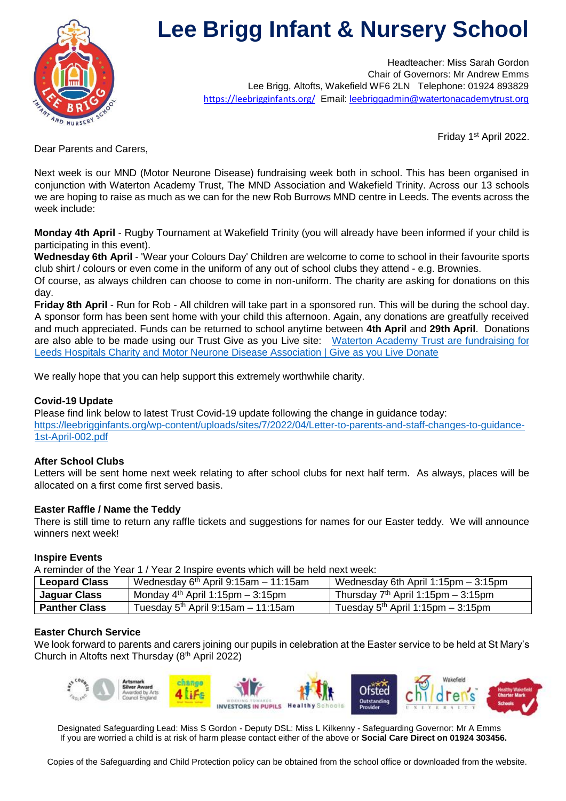

# **Lee Brigg Infant & Nursery School**

Headteacher: Miss Sarah Gordon Chair of Governors: Mr Andrew Emms Lee Brigg, Altofts, Wakefield WF6 2LN Telephone: 01924 893829 <https://leebrigginfants.org/> Email: leebriggadmin@watertonacademytrust.org

Friday 1<sup>st</sup> April 2022.

Dear Parents and Carers,

Next week is our MND (Motor Neurone Disease) fundraising week both in school. This has been organised in conjunction with Waterton Academy Trust, The MND Association and Wakefield Trinity. Across our 13 schools we are hoping to raise as much as we can for the new Rob Burrows MND centre in Leeds. The events across the week include:

**Monday 4th April** - Rugby Tournament at Wakefield Trinity (you will already have been informed if your child is participating in this event).

**Wednesday 6th April** - 'Wear your Colours Day' Children are welcome to come to school in their favourite sports club shirt / colours or even come in the uniform of any out of school clubs they attend - e.g. Brownies.

Of course, as always children can choose to come in non-uniform. The charity are asking for donations on this day.

**Friday 8th April** - Run for Rob - All children will take part in a sponsored run. This will be during the school day. A sponsor form has been sent home with your child this afternoon. Again, any donations are greatfully received and much appreciated. Funds can be returned to school anytime between **4th April** and **29th April**. Donations are also able to be made using our Trust Give as you Live site: [Waterton Academy Trust are fundraising for](https://donate.giveasyoulive.com/fundraising/waterton-mnd-week?share)  [Leeds Hospitals Charity and Motor Neurone Disease Association | Give as](https://donate.giveasyoulive.com/fundraising/waterton-mnd-week?share) you Live Donate

We really hope that you can help support this extremely worthwhile charity.

# **Covid-19 Update**

Please find link below to latest Trust Covid-19 update following the change in guidance today: [https://leebrigginfants.org/wp-content/uploads/sites/7/2022/04/Letter-to-parents-and-staff-changes-to-guidance-](https://leebrigginfants.org/wp-content/uploads/sites/7/2022/04/Letter-to-parents-and-staff-changes-to-guidance-1st-April-002.pdf)[1st-April-002.pdf](https://leebrigginfants.org/wp-content/uploads/sites/7/2022/04/Letter-to-parents-and-staff-changes-to-guidance-1st-April-002.pdf)

## **After School Clubs**

Letters will be sent home next week relating to after school clubs for next half term. As always, places will be allocated on a first come first served basis.

## **Easter Raffle / Name the Teddy**

There is still time to return any raffle tickets and suggestions for names for our Easter teddy. We will announce winners next week!

## **Inspire Events**

A reminder of the Year 1 / Year 2 Inspire events which will be held next week:

| <b>Leopard Class</b> | Wednesday $6th$ April 9:15am - 11:15am | Wednesday 6th April 1:15pm - 3:15pm  |
|----------------------|----------------------------------------|--------------------------------------|
| Jaguar Class         | Monday $4th$ April 1:15pm – 3:15pm     | Thursday $7th$ April 1:15pm – 3:15pm |
| <b>Panther Class</b> | Tuesday $5th$ April 9:15am - 11:15am   | Tuesday $5th$ April 1:15pm – 3:15pm  |

## **Easter Church Service**

We look forward to parents and carers joining our pupils in celebration at the Easter service to be held at St Mary's Church in Altofts next Thursday (8<sup>th</sup> April 2022)



Designated Safeguarding Lead: Miss S Gordon - Deputy DSL: Miss L Kilkenny - Safeguarding Governor: Mr A Emms If you are worried a child is at risk of harm please contact either of the above or **Social Care Direct on 01924 303456.**

Copies of the Safeguarding and Child Protection policy can be obtained from the school office or downloaded from the website.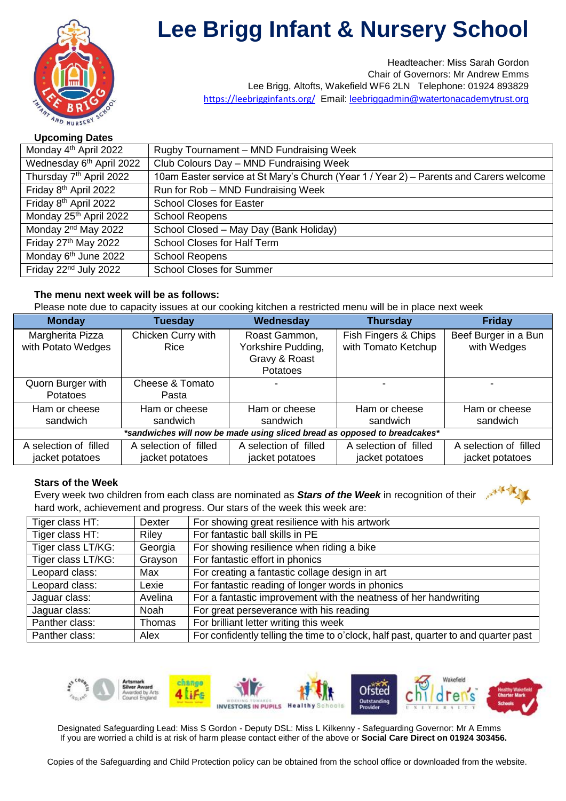

# **Lee Brigg Infant & Nursery School**

Headteacher: Miss Sarah Gordon Chair of Governors: Mr Andrew Emms Lee Brigg, Altofts, Wakefield WF6 2LN Telephone: 01924 893829 <https://leebrigginfants.org/> Email: leebriggadmin@watertonacademytrust.org

# **Upcoming Dates**

| Monday 4 <sup>th</sup> April 2022    | Rugby Tournament - MND Fundraising Week                                                |
|--------------------------------------|----------------------------------------------------------------------------------------|
| Wednesday 6 <sup>th</sup> April 2022 | Club Colours Day - MND Fundraising Week                                                |
| Thursday 7 <sup>th</sup> April 2022  | 10am Easter service at St Mary's Church (Year 1 / Year 2) - Parents and Carers welcome |
| Friday 8 <sup>th</sup> April 2022    | Run for Rob - MND Fundraising Week                                                     |
| Friday 8 <sup>th</sup> April 2022    | <b>School Closes for Easter</b>                                                        |
| Monday 25 <sup>th</sup> April 2022   | <b>School Reopens</b>                                                                  |
| Monday 2 <sup>nd</sup> May 2022      | School Closed - May Day (Bank Holiday)                                                 |
| Friday 27th May 2022                 | School Closes for Half Term                                                            |
| Monday 6 <sup>th</sup> June 2022     | <b>School Reopens</b>                                                                  |
| Friday 22 <sup>nd</sup> July 2022    | <b>School Closes for Summer</b>                                                        |

# **The menu next week will be as follows:**

Please note due to capacity issues at our cooking kitchen a restricted menu will be in place next week

| <b>Monday</b>                                                             | <b>Tuesday</b>        | Wednesday             | <b>Thursday</b>       | <b>Friday</b>         |
|---------------------------------------------------------------------------|-----------------------|-----------------------|-----------------------|-----------------------|
| Margherita Pizza                                                          | Chicken Curry with    | Roast Gammon,         | Fish Fingers & Chips  | Beef Burger in a Bun  |
| with Potato Wedges                                                        | Rice                  | Yorkshire Pudding,    | with Tomato Ketchup   | with Wedges           |
|                                                                           |                       | Gravy & Roast         |                       |                       |
|                                                                           |                       | <b>Potatoes</b>       |                       |                       |
| Quorn Burger with                                                         | Cheese & Tomato       |                       |                       |                       |
| <b>Potatoes</b>                                                           | Pasta                 |                       |                       |                       |
| Ham or cheese                                                             | Ham or cheese         | Ham or cheese         | Ham or cheese         | Ham or cheese         |
| sandwich                                                                  | sandwich              | sandwich              | sandwich              | sandwich              |
| *sandwiches will now be made using sliced bread as opposed to breadcakes* |                       |                       |                       |                       |
| A selection of filled                                                     | A selection of filled | A selection of filled | A selection of filled | A selection of filled |
| jacket potatoes                                                           | jacket potatoes       | jacket potatoes       | jacket potatoes       | jacket potatoes       |

## **Stars of the Week**

Every week two children from each class are nominated as *Stars of the Week* in recognition of their hard work, achievement and progress. Our stars of the week this week are:

| $\frac{1}{2}$ . The complete the control of the production of the control of the moon drop. |         |                                                                                     |
|---------------------------------------------------------------------------------------------|---------|-------------------------------------------------------------------------------------|
| Tiger class HT:                                                                             | Dexter  | For showing great resilience with his artwork                                       |
| Tiger class HT:                                                                             | Riley   | For fantastic ball skills in PE                                                     |
| Tiger class LT/KG:                                                                          | Georgia | For showing resilience when riding a bike                                           |
| Tiger class LT/KG:                                                                          | Grayson | For fantastic effort in phonics                                                     |
| Leopard class:                                                                              | Max     | For creating a fantastic collage design in art                                      |
| Leopard class:                                                                              | Lexie   | For fantastic reading of longer words in phonics                                    |
| Jaguar class:                                                                               | Avelina | For a fantastic improvement with the neatness of her handwriting                    |
| Jaguar class:                                                                               | Noah    | For great perseverance with his reading                                             |
| Panther class:                                                                              | Thomas  | For brilliant letter writing this week                                              |
| Panther class:                                                                              | Alex    | For confidently telling the time to o'clock, half past, quarter to and quarter past |



Designated Safeguarding Lead: Miss S Gordon - Deputy DSL: Miss L Kilkenny - Safeguarding Governor: Mr A Emms If you are worried a child is at risk of harm please contact either of the above or **Social Care Direct on 01924 303456.**

Copies of the Safeguarding and Child Protection policy can be obtained from the school office or downloaded from the website.